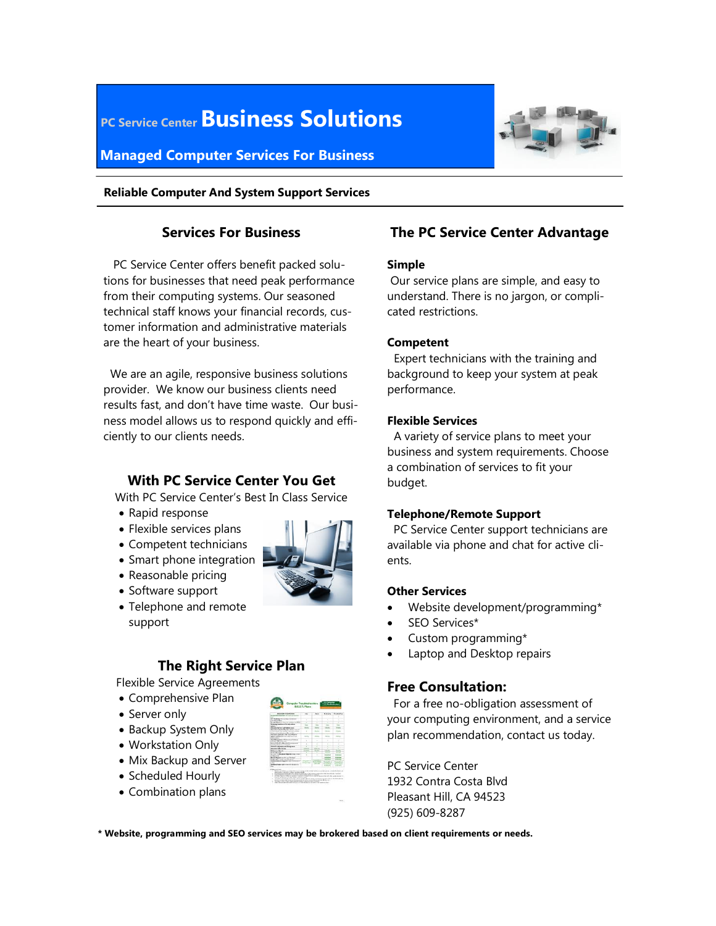# **PC Service Center Business Solutions**

## **Managed Computer Services For Business**



#### **Reliable Computer And System Support Services**

### **Services For Business**

 PC Service Center offers benefit packed solutions for businesses that need peak performance from their computing systems. Our seasoned technical staff knows your financial records, customer information and administrative materials are the heart of your business.

 We are an agile, responsive business solutions provider. We know our business clients need results fast, and don't have time waste. Our business model allows us to respond quickly and efficiently to our clients needs.

### **With PC Service Center You Get**

With PC Service Center's Best In Class Service

- Rapid response
- Flexible services plans
- Competent technicians
- Smart phone integration
- Reasonable pricing
- Software support
- Telephone and remote support

# **The Right Service Plan**

Flexible Service Agreements

- Comprehensive Plan
- Server only
- Backup System Only
- Workstation Only
- Mix Backup and Server
- Scheduled Hourly
- Combination plans



## **The PC Service Center Advantage**

#### **Simple**

 Our service plans are simple, and easy to understand. There is no jargon, or complicated restrictions.

#### **Competent**

 Expert technicians with the training and background to keep your system at peak performance.

#### **Flexible Services**

 A variety of service plans to meet your business and system requirements. Choose a combination of services to fit your budget.

#### **Telephone/Remote Support**

 PC Service Center support technicians are available via phone and chat for active clients.

#### **Other Services**

- Website development/programming\*
- SEO Services\*
- Custom programming\*
- Laptop and Desktop repairs

## **Free Consultation:**

For a free no-obligation assessment of your computing environment, and a service plan recommendation, contact us today.

PC Service Center 1932 Contra Costa Blvd Pleasant Hill, CA 94523 (925) 609-8287

**\* Website, programming and SEO services may be brokered based on client requirements or needs.**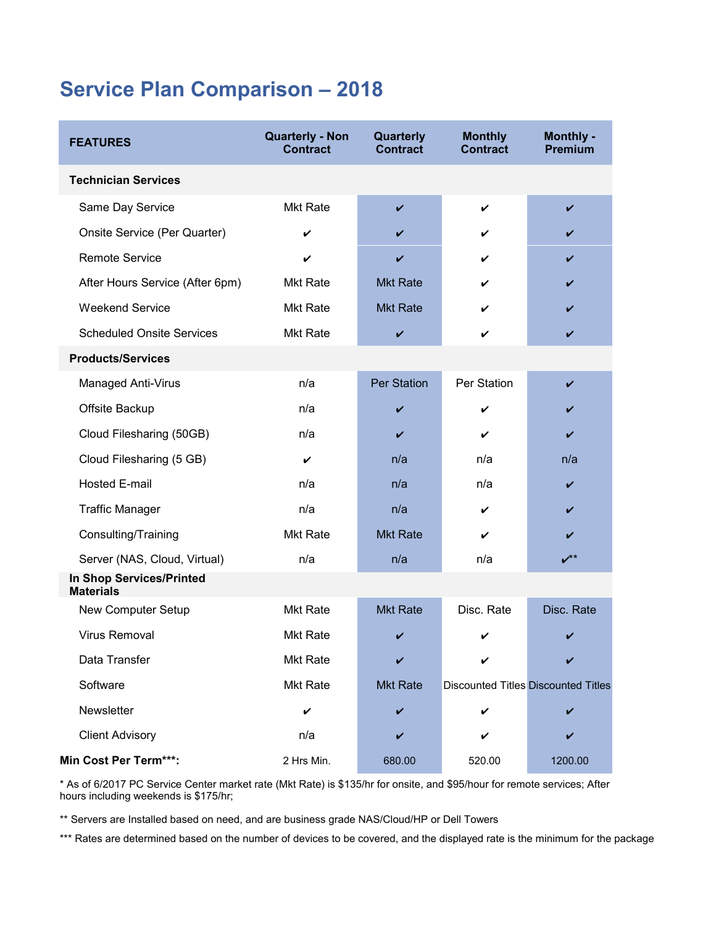# **Service Plan Comparison – 2018**

| <b>FEATURES</b>                              | <b>Quarterly - Non</b><br><b>Contract</b> | Quarterly<br><b>Contract</b> | <b>Monthly</b><br><b>Contract</b>          | Monthly -<br><b>Premium</b> |
|----------------------------------------------|-------------------------------------------|------------------------------|--------------------------------------------|-----------------------------|
| <b>Technician Services</b>                   |                                           |                              |                                            |                             |
| Same Day Service                             | <b>Mkt Rate</b>                           | V                            | V                                          | V                           |
| Onsite Service (Per Quarter)                 | V                                         |                              | V                                          |                             |
| <b>Remote Service</b>                        | V                                         | V                            | ✓                                          | V                           |
| After Hours Service (After 6pm)              | <b>Mkt Rate</b>                           | <b>Mkt Rate</b>              | V                                          |                             |
| <b>Weekend Service</b>                       | <b>Mkt Rate</b>                           | <b>Mkt Rate</b>              | V                                          | V                           |
| <b>Scheduled Onsite Services</b>             | <b>Mkt Rate</b>                           | V                            | V                                          | V                           |
| <b>Products/Services</b>                     |                                           |                              |                                            |                             |
| Managed Anti-Virus                           | n/a                                       | <b>Per Station</b>           | Per Station                                | V                           |
| Offsite Backup                               | n/a                                       | ✔                            | V                                          |                             |
| Cloud Filesharing (50GB)                     | n/a                                       | V                            | V                                          | V                           |
| Cloud Filesharing (5 GB)                     | V                                         | n/a                          | n/a                                        | n/a                         |
| <b>Hosted E-mail</b>                         | n/a                                       | n/a                          | n/a                                        | V                           |
| <b>Traffic Manager</b>                       | n/a                                       | n/a                          | V                                          | V                           |
| Consulting/Training                          | <b>Mkt Rate</b>                           | <b>Mkt Rate</b>              | V                                          |                             |
| Server (NAS, Cloud, Virtual)                 | n/a                                       | n/a                          | n/a                                        | $v^{**}$                    |
| In Shop Services/Printed<br><b>Materials</b> |                                           |                              |                                            |                             |
| New Computer Setup                           | <b>Mkt Rate</b>                           | <b>Mkt Rate</b>              | Disc. Rate                                 | Disc. Rate                  |
| <b>Virus Removal</b>                         | <b>Mkt Rate</b>                           | V                            | V                                          |                             |
| Data Transfer                                | <b>Mkt Rate</b>                           |                              |                                            |                             |
| Software                                     | <b>Mkt Rate</b>                           | <b>Mkt Rate</b>              | <b>Discounted Titles Discounted Titles</b> |                             |
| Newsletter                                   | V                                         | V                            | V                                          |                             |
| <b>Client Advisory</b>                       | n/a                                       | V                            | V                                          | V                           |
| Min Cost Per Term***:                        | 2 Hrs Min.                                | 680.00                       | 520.00                                     | 1200.00                     |

\* As of 6/2017 PC Service Center market rate (Mkt Rate) is \$135/hr for onsite, and \$95/hour for remote services; After hours including weekends is \$175/hr;

\*\* Servers are Installed based on need, and are business grade NAS/Cloud/HP or Dell Towers

\*\*\* Rates are determined based on the number of devices to be covered, and the displayed rate is the minimum for the package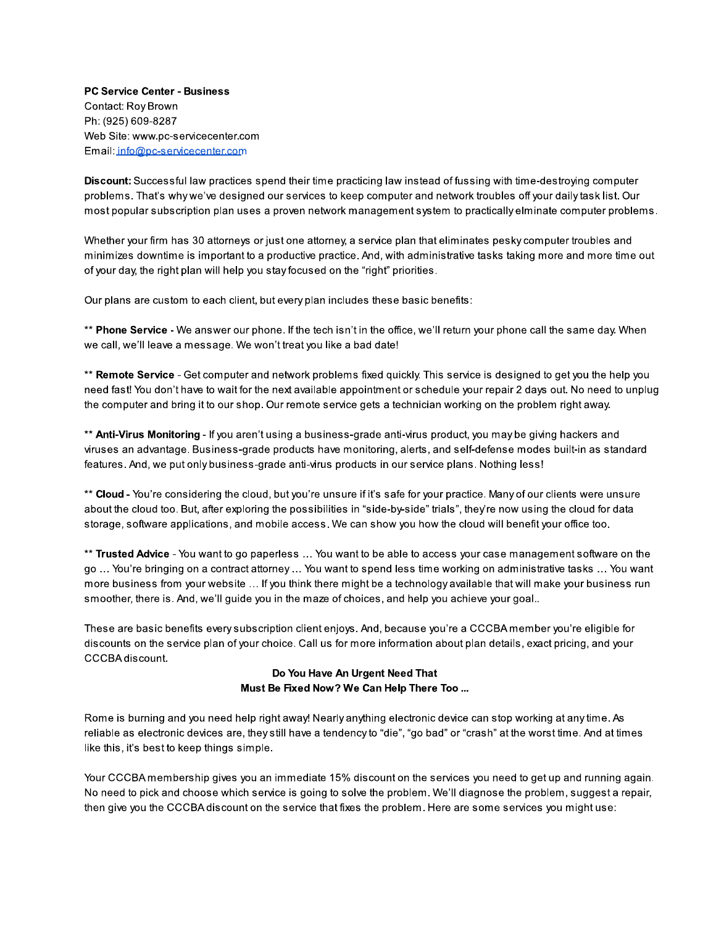**PC Service Center - Business** Contact: Roy Brown Ph: (925) 609-8287 Web Site: www.pc-servicecenter.com Email: info@pc-servicecenter.com

Discount: Successful law practices spend their time practicing law instead of fussing with time-destroying computer problems. That's why we've designed our services to keep computer and network troubles off your daily task list. Our most popular subscription plan uses a proven network management system to practically elminate computer problems.

Whether your firm has 30 attorneys or just one attorney, a service plan that eliminates pesky computer troubles and minimizes downtime is important to a productive practice. And, with administrative tasks taking more and more time out of your day, the right plan will help you stay focused on the "right" priorities.

Our plans are custom to each client, but every plan includes these basic benefits:

\*\* Phone Service - We answer our phone. If the tech isn't in the office, we'll return your phone call the same day. When we call, we'll leave a message. We won't treat you like a bad date!

\*\* Remote Service - Get computer and network problems fixed quickly. This service is designed to get you the help you need fast! You don't have to wait for the next available appointment or schedule your repair 2 days out. No need to unplug the computer and bring it to our shop. Our remote service gets a technician working on the problem right away.

\*\* Anti-Virus Monitoring - If you aren't using a business-grade anti-virus product, you may be giving hackers and viruses an advantage. Business-grade products have monitoring, alerts, and self-defense modes built-in as standard features. And, we put only business-grade anti-virus products in our service plans. Nothing less!

\*\* Cloud - You're considering the cloud, but you're unsure if it's safe for your practice. Many of our clients were unsure about the cloud too. But, after exploring the possibilities in "side-by-side" trials", they're now using the cloud for data storage, software applications, and mobile access. We can show you how the cloud will benefit your office too.

\*\* Trusted Advice - You want to go paperless ... You want to be able to access your case management software on the go ... You're bringing on a contract attorney ... You want to spend less time working on administrative tasks ... You want more business from your website ... If you think there might be a technology available that will make your business run smoother, there is. And, we'll guide you in the maze of choices, and help you achieve your goal..

These are basic benefits every subscription client enjoys. And, because you're a CCCBA member you're eligible for discounts on the service plan of your choice. Call us for more information about plan details, exact pricing, and your CCCBA discount.

#### Do You Have An Urgent Need That Must Be Fixed Now? We Can Help There Too ...

Rome is burning and you need help right away! Nearly anything electronic device can stop working at any time. As reliable as electronic devices are, they still have a tendency to "die", "go bad" or "crash" at the worst time. And at times like this, it's best to keep things simple.

Your CCCBA membership gives you an immediate 15% discount on the services you need to get up and running again. No need to pick and choose which service is going to solve the problem. We'll diagnose the problem, suggest a repair, then give you the CCCBA discount on the service that fixes the problem. Here are some services you might use: